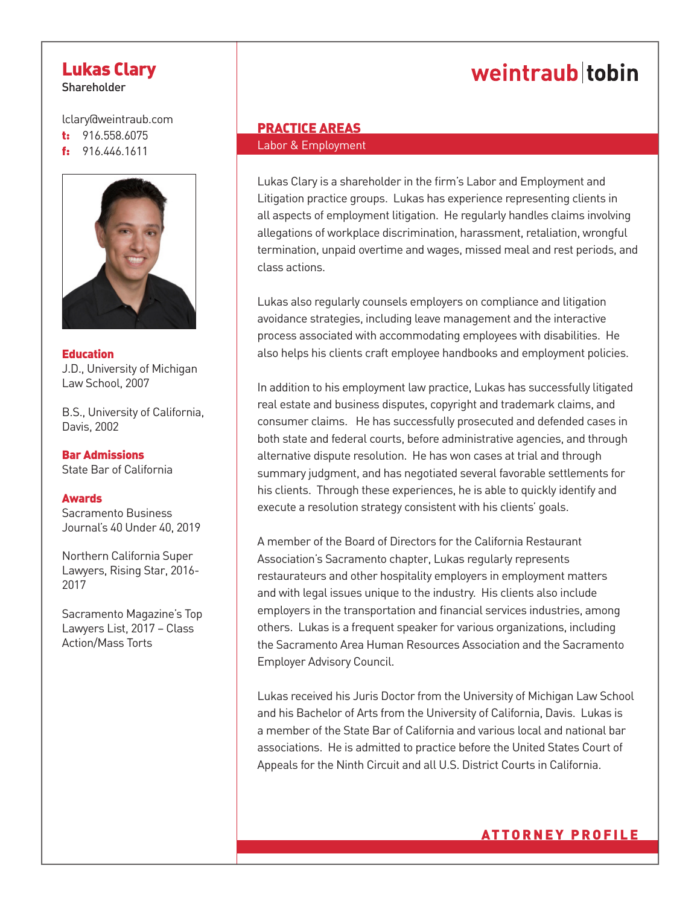## weintraub tobin

## Lukas Clary

Shareholder

lclary@weintraub.com

- t: 916.558.6075
- f: 916.446.1611



Education J.D., University of Michigan Law School, 2007

B.S., University of California, Davis, 2002

Bar Admissions State Bar of California

#### Awards

Sacramento Business Journal's 40 Under 40, 2019

Northern California Super Lawyers, Rising Star, 2016- 2017

Sacramento Magazine's Top Lawyers List, 2017 – Class Action/Mass Torts

### PRACTICE AREAS

#### Labor & Employment

Lukas Clary is a shareholder in the firm's Labor and Employment and Litigation practice groups. Lukas has experience representing clients in all aspects of employment litigation. He regularly handles claims involving allegations of workplace discrimination, harassment, retaliation, wrongful termination, unpaid overtime and wages, missed meal and rest periods, and class actions.

Lukas also regularly counsels employers on compliance and litigation avoidance strategies, including leave management and the interactive process associated with accommodating employees with disabilities. He also helps his clients craft employee handbooks and employment policies.

In addition to his employment law practice, Lukas has successfully litigated real estate and business disputes, copyright and trademark claims, and consumer claims. He has successfully prosecuted and defended cases in both state and federal courts, before administrative agencies, and through alternative dispute resolution. He has won cases at trial and through summary judgment, and has negotiated several favorable settlements for his clients. Through these experiences, he is able to quickly identify and execute a resolution strategy consistent with his clients' goals.

A member of the Board of Directors for the California Restaurant Association's Sacramento chapter, Lukas regularly represents restaurateurs and other hospitality employers in employment matters and with legal issues unique to the industry. His clients also include employers in the transportation and financial services industries, among others. Lukas is a frequent speaker for various organizations, including the Sacramento Area Human Resources Association and the Sacramento Employer Advisory Council.

Lukas received his Juris Doctor from the University of Michigan Law School and his Bachelor of Arts from the University of California, Davis. Lukas is a member of the State Bar of California and various local and national bar associations. He is admitted to practice before the United States Court of Appeals for the Ninth Circuit and all U.S. District Courts in California.

### ATTORNEY PROFILE